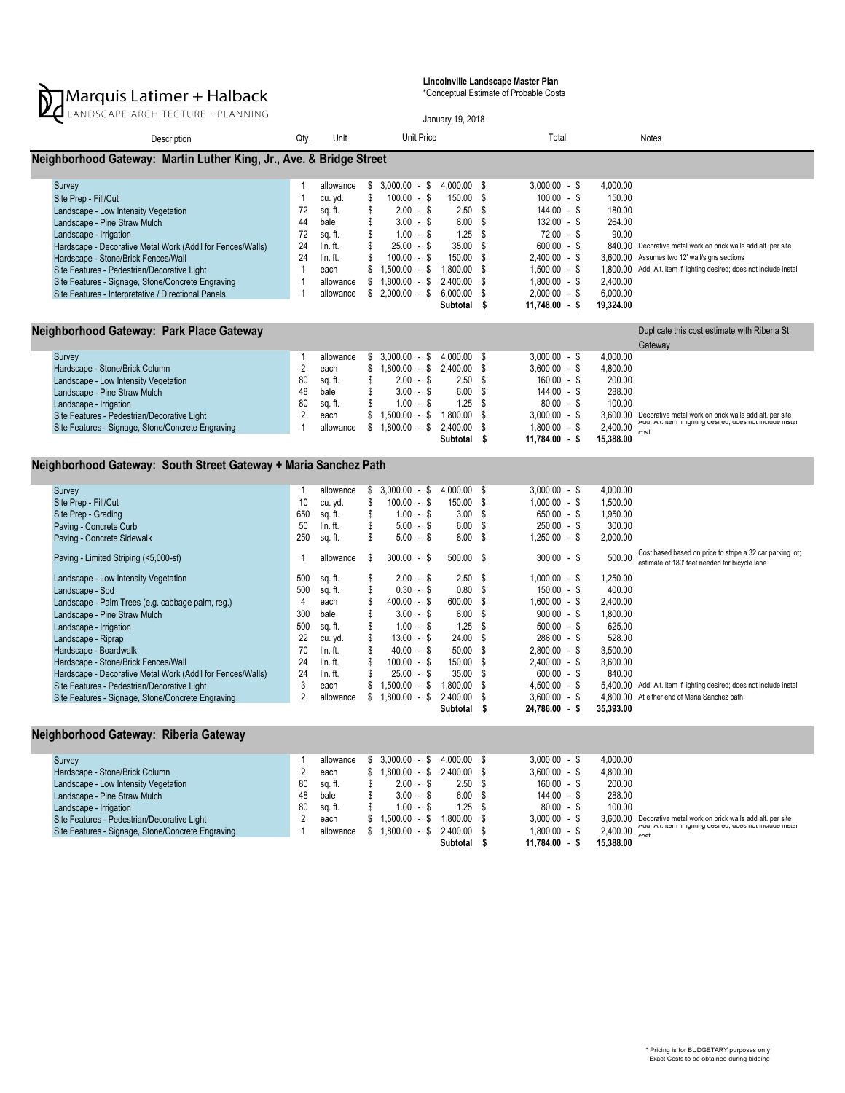

Lincolnville Landscape Master Plan

\*Conceptual Estimate of Probable Costs

| LANDSCAPE ARCHITECTURE · PLANNING                                                                                                                                                                                                                                                                                                                                                                                                                                                                                                                                                       |                                                                                                                               |                                                                                                                                                                            |                                                                                                   |                                                                                                                                                                                                                                                                   |                   | January 19, 2018                                                                                                                                                        |                                                                                                                       |                                                                                                                                                                                                                                                                                                                   |                                                                                                                                                                                   |                                                                                                                                                                                                                                     |  |  |
|-----------------------------------------------------------------------------------------------------------------------------------------------------------------------------------------------------------------------------------------------------------------------------------------------------------------------------------------------------------------------------------------------------------------------------------------------------------------------------------------------------------------------------------------------------------------------------------------|-------------------------------------------------------------------------------------------------------------------------------|----------------------------------------------------------------------------------------------------------------------------------------------------------------------------|---------------------------------------------------------------------------------------------------|-------------------------------------------------------------------------------------------------------------------------------------------------------------------------------------------------------------------------------------------------------------------|-------------------|-------------------------------------------------------------------------------------------------------------------------------------------------------------------------|-----------------------------------------------------------------------------------------------------------------------|-------------------------------------------------------------------------------------------------------------------------------------------------------------------------------------------------------------------------------------------------------------------------------------------------------------------|-----------------------------------------------------------------------------------------------------------------------------------------------------------------------------------|-------------------------------------------------------------------------------------------------------------------------------------------------------------------------------------------------------------------------------------|--|--|
| Description                                                                                                                                                                                                                                                                                                                                                                                                                                                                                                                                                                             | Qty.                                                                                                                          | Unit                                                                                                                                                                       |                                                                                                   |                                                                                                                                                                                                                                                                   | <b>Unit Price</b> |                                                                                                                                                                         |                                                                                                                       | Total                                                                                                                                                                                                                                                                                                             |                                                                                                                                                                                   | <b>Notes</b>                                                                                                                                                                                                                        |  |  |
| Neighborhood Gateway: Martin Luther King, Jr., Ave. & Bridge Street                                                                                                                                                                                                                                                                                                                                                                                                                                                                                                                     |                                                                                                                               |                                                                                                                                                                            |                                                                                                   |                                                                                                                                                                                                                                                                   |                   |                                                                                                                                                                         |                                                                                                                       |                                                                                                                                                                                                                                                                                                                   |                                                                                                                                                                                   |                                                                                                                                                                                                                                     |  |  |
| Survey<br>Site Prep - Fill/Cut<br>Landscape - Low Intensity Vegetation<br>Landscape - Pine Straw Mulch<br>Landscape - Irrigation<br>Hardscape - Decorative Metal Work (Add'l for Fences/Walls)<br>Hardscape - Stone/Brick Fences/Wall<br>Site Features - Pedestrian/Decorative Light<br>Site Features - Signage, Stone/Concrete Engraving<br>Site Features - Interpretative / Directional Panels                                                                                                                                                                                        | -1<br>$\mathbf{1}$<br>72<br>44<br>72<br>24<br>24<br>$\overline{1}$<br>$\overline{1}$<br>$\mathbf{1}$                          | allowance<br>cu. yd.<br>sq. ft.<br>bale<br>sq. ft.<br>lin. ft.<br>$lin. ft.eachallowanceallowance$                                                                         | \$<br>\$<br>\$<br>\$<br>\$<br>\$<br>S<br>\$<br>\$<br>\$                                           | $3,000.00 - $$<br>$100.00 - $$<br>$2.00 - $$<br>$3.00 - $$<br>$1.00 - $$<br>$25.00 - $$<br>$100.00 - $$<br>$1,500.00 - $$<br>$1,800.00 - $$<br>$2,000.00 - $$                                                                                                     |                   | 4,000.00<br>150.00<br>2.50<br>6.00<br>1.25<br>35.00<br>150.00<br>1,800.00<br>2,400.00<br>6,000.00<br>Subtotal \$                                                        | -\$<br>\$<br>- \$<br>S.<br>- \$<br>\$<br>\$<br>\$<br>\$<br>-\$                                                        | $3,000.00 - $$<br>$100.00 - $$<br>$144.00 - $$<br>$132.00 - $$<br>$72.00 - $$<br>$600.00 - $$<br>$2,400.00 - $$<br>$1,500.00 - $$<br>$1,800.00 - $$<br>$2,000.00 - $$<br>$11.748.00 - S$                                                                                                                          | 4,000.00<br>150.00<br>180.00<br>264.00<br>90.00<br>3.600.00<br>1,800.00<br>2,400.00<br>6,000.00<br>19.324.00                                                                      | 840.00 Decorative metal work on brick walls add alt. per site<br>Assumes two 12' wall/signs sections<br>Add. Alt. item if lighting desired; does not include install                                                                |  |  |
| Neighborhood Gateway: Park Place Gateway<br>Duplicate this cost estimate with Riberia St.<br>Gateway                                                                                                                                                                                                                                                                                                                                                                                                                                                                                    |                                                                                                                               |                                                                                                                                                                            |                                                                                                   |                                                                                                                                                                                                                                                                   |                   |                                                                                                                                                                         |                                                                                                                       |                                                                                                                                                                                                                                                                                                                   |                                                                                                                                                                                   |                                                                                                                                                                                                                                     |  |  |
| Survey<br>Hardscape - Stone/Brick Column<br>Landscape - Low Intensity Vegetation<br>Landscape - Pine Straw Mulch<br>Landscape - Irrigation<br>Site Features - Pedestrian/Decorative Light<br>Site Features - Signage, Stone/Concrete Engraving                                                                                                                                                                                                                                                                                                                                          | $\mathbf{1}$<br>$\overline{2}$<br>80<br>48<br>80<br>$\overline{2}$<br>$\mathbf{1}$                                            | allowance<br>each<br>sq. ft.<br>bale<br>sq. ft.<br>each<br>allowance                                                                                                       | \$<br>\$<br>\$<br>\$<br>\$<br>\$<br>\$                                                            | $3,000.00 - $$<br>$1,800.00 - $$<br>$2.00 - $$<br>$3.00 - $$<br>$1.00 - $$<br>$1,500.00 - $$<br>$1,800.00 -$ \$                                                                                                                                                   |                   | 4,000.00<br>2,400.00<br>2.50<br>6.00<br>1.25<br>1,800.00<br>2,400.00<br>Subtotal                                                                                        | -\$<br>\$<br>S.<br>Ŝ.<br>-S<br>\$<br>\$<br>- \$                                                                       | $3.000.00 - $$<br>$3,600.00 - $$<br>$160.00 - $$<br>$144.00 - $$<br>$80.00 - $$<br>$3,000.00 - $$<br>$1,800.00 - $$<br>$11.784.00 - S$                                                                                                                                                                            | 4.000.00<br>4,800.00<br>200.00<br>288.00<br>100.00<br>2,400.00<br>15,388.00                                                                                                       | 3,600.00 Decorative metal work on brick walls add alt. per site<br>Aud. Ait. nem ir lignung desired; does not include install<br>cost                                                                                               |  |  |
| Neighborhood Gateway: South Street Gateway + Maria Sanchez Path                                                                                                                                                                                                                                                                                                                                                                                                                                                                                                                         |                                                                                                                               |                                                                                                                                                                            |                                                                                                   |                                                                                                                                                                                                                                                                   |                   |                                                                                                                                                                         |                                                                                                                       |                                                                                                                                                                                                                                                                                                                   |                                                                                                                                                                                   |                                                                                                                                                                                                                                     |  |  |
| Survey<br>Site Prep - Fill/Cut<br>Site Prep - Grading<br>Paving - Concrete Curb<br>Paving - Concrete Sidewalk<br>Paving - Limited Striping (<5,000-sf)<br>Landscape - Low Intensity Vegetation<br>Landscape - Sod<br>Landscape - Palm Trees (e.g. cabbage palm, reg.)<br>Landscape - Pine Straw Mulch<br>Landscape - Irrigation<br>Landscape - Riprap<br>Hardscape - Boardwalk<br>Hardscape - Stone/Brick Fences/Wall<br>Hardscape - Decorative Metal Work (Add'l for Fences/Walls)<br>Site Features - Pedestrian/Decorative Light<br>Site Features - Signage, Stone/Concrete Engraving | -1<br>10<br>650<br>50<br>250<br>-1<br>500<br>500<br>4<br>300<br>500<br>22<br>70<br>24<br>24<br>$\mathbf{3}$<br>$\overline{2}$ | allowance<br>cu. yd.<br>sq. ft.<br>lin. ft.<br>sq. ft.<br>allowance<br>sq. ft.<br>sq. ft.<br>each<br>bale<br>sq. ft.<br>cu. yd.<br>$lin. ft.lin. ft.lin. ft.eachallowance$ | \$<br>\$<br>\$<br>\$<br>\$<br>\$<br>\$<br>\$<br>\$<br>\$<br>\$<br>\$<br>\$<br>S<br>\$<br>\$<br>\$ | $3,000.00 - $$<br>$100.00 - $$<br>$1.00 - $$<br>$5.00 - $$<br>$5.00 - $$<br>$300.00 - $$<br>$2.00 - $$<br>$0.30 - $$<br>$400.00 - $$<br>$3.00 - $$<br>$1.00 - $$<br>$13.00 - $$<br>$40.00 - $$<br>$100.00 - $$<br>$25.00 - $$<br>$1,500.00 - $$<br>$1,800.00 - $$ |                   | 4,000.00<br>150.00<br>3.00<br>6.00<br>8.00<br>500.00<br>2.50<br>0.80<br>600.00<br>6.00<br>1.25<br>24.00<br>50.00<br>150.00<br>35.00<br>1,800.00<br>2.400.00<br>Subtotal | \$<br>\$<br>-S<br>\$<br>-\$<br>- \$<br>- \$<br><b>S</b><br>\$<br>S.<br>Ŝ.<br>S<br>\$<br>-\$<br>-S<br>\$<br>\$<br>- \$ | $3,000.00 - $$<br>$1,000.00 - $$<br>$650.00 - $$<br>$250.00 - $$<br>$1.250.00 - $$<br>$300.00 - $$<br>$1,000.00 - $$<br>$150.00 - $$<br>$1,600.00 - $$<br>$900.00 - $$<br>$500.00 - $$<br>$286.00 - $$<br>$2,800.00 - $$<br>$2,400.00 - $$<br>$600.00 - $$<br>$4,500.00 - $$<br>$3,600.00 - $$<br>$24,786.00 - $$ | 4.000.00<br>1.500.00<br>1,950.00<br>300.00<br>2.000.00<br>500.00<br>1,250.00<br>400.00<br>2,400.00<br>1,800.00<br>625.00<br>528.00<br>3,500.00<br>3,600.00<br>840.00<br>35,393.00 | Cost based based on price to stripe a 32 car parking lot;<br>estimate of 180' feet needed for bicycle lane<br>5,400.00 Add. Alt. item if lighting desired; does not include install<br>4,800.00 At either end of Maria Sanchez path |  |  |

## Neighborhood Gateway: Riberia Gateway

| Survey                                            |    | allowance | $3.000.00 - $$  | 4.000.00 \$       | $3.000.00 - $$  | 4.000.00  |                                                                      |
|---------------------------------------------------|----|-----------|-----------------|-------------------|-----------------|-----------|----------------------------------------------------------------------|
| Hardscape - Stone/Brick Column                    |    | each      | $1.800.00 -$ \$ | 2.400.00 \$       | $3.600.00 - $$  | 4.800.00  |                                                                      |
| Landscape - Low Intensity Vegetation              | 80 | sq. ft.   | $2.00 - $$      | 2.50 <sup>5</sup> | $160.00 - $$    | 200.00    |                                                                      |
| Landscape - Pine Straw Mulch                      | 48 | bale      | $3.00 - $$      | 6.00 <sup>5</sup> | $144.00 -$ \$   | 288.00    |                                                                      |
| Landscape - Irrigation                            | 80 | sq. ft.   | $1.00 - $$      | 1.25 \$           | $80.00 - $$     | 100.00    |                                                                      |
| Site Features - Pedestrian/Decorative Light       |    | each      | $1.500.00 -$ \$ | 1.800.00 \$       | $3.000.00 - $$  |           | 3.600.00 Decorative metal work on brick walls add alt. per site      |
| Site Features - Signage, Stone/Concrete Engraving |    | allowance | 1.800.00 - \$   | 2.400.00 \$       | $1.800.00 - $$  | 2,400.00  | Add. Alt. item if lighting desired; does not include install<br>coci |
|                                                   |    |           |                 | Subtotal          | $11.784.00 - $$ | 15,388,00 |                                                                      |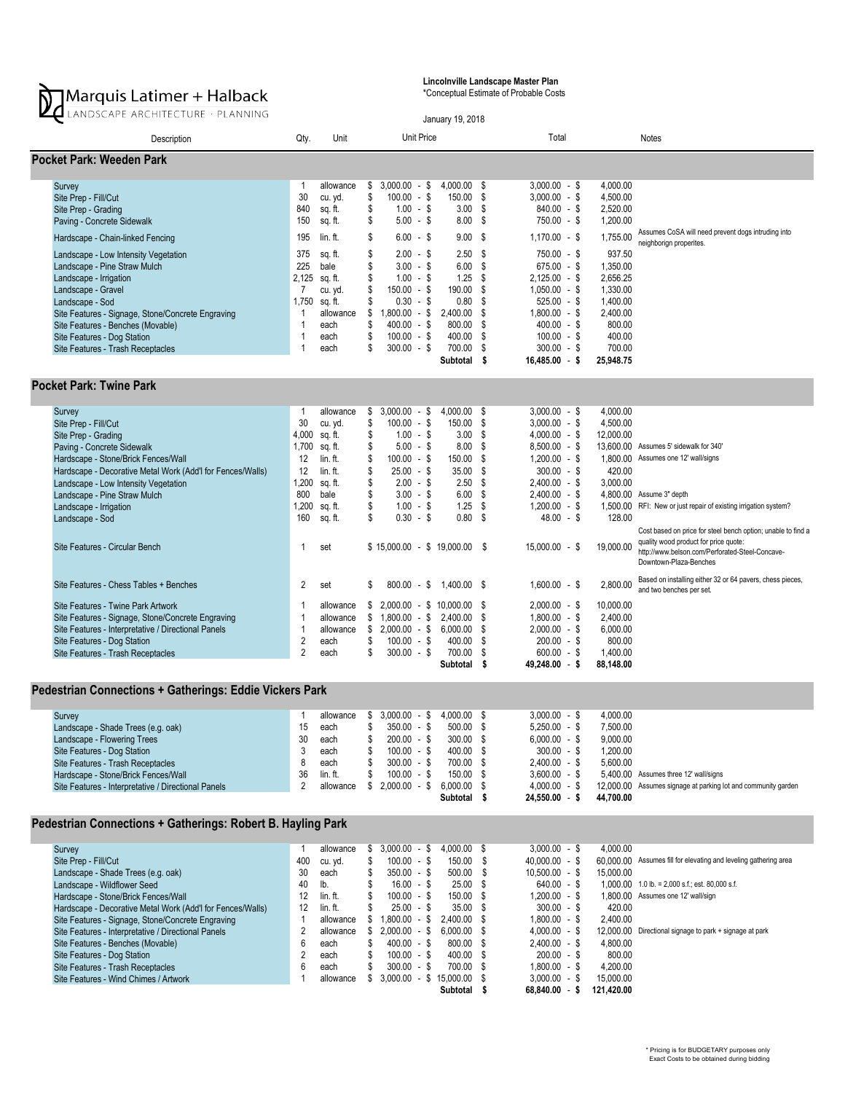

Lincolnville Landscape Master Plan

\*Conceptual Estimate of Probable Costs

| LANDSCAPE ARCHITECTURE · PLANNING                                                                                                                                                                                                                                                                                                                                                                                                                                                                                                                                                                                                                                                 |                                                                                                                                                                                               |                                                                                                                                                                                 |                                                                                              |                                                                                                                                                                                                                                       |  | January 19, 2018                                                                                                                                                                                                                                                                                  |  |                                                                                                                                                                                                                                                                                                                           |                                                                                                                                                                           |                                                                                                                                                                                                                                                                                                                                                                                                                                                             |  |  |
|-----------------------------------------------------------------------------------------------------------------------------------------------------------------------------------------------------------------------------------------------------------------------------------------------------------------------------------------------------------------------------------------------------------------------------------------------------------------------------------------------------------------------------------------------------------------------------------------------------------------------------------------------------------------------------------|-----------------------------------------------------------------------------------------------------------------------------------------------------------------------------------------------|---------------------------------------------------------------------------------------------------------------------------------------------------------------------------------|----------------------------------------------------------------------------------------------|---------------------------------------------------------------------------------------------------------------------------------------------------------------------------------------------------------------------------------------|--|---------------------------------------------------------------------------------------------------------------------------------------------------------------------------------------------------------------------------------------------------------------------------------------------------|--|---------------------------------------------------------------------------------------------------------------------------------------------------------------------------------------------------------------------------------------------------------------------------------------------------------------------------|---------------------------------------------------------------------------------------------------------------------------------------------------------------------------|-------------------------------------------------------------------------------------------------------------------------------------------------------------------------------------------------------------------------------------------------------------------------------------------------------------------------------------------------------------------------------------------------------------------------------------------------------------|--|--|
| Description                                                                                                                                                                                                                                                                                                                                                                                                                                                                                                                                                                                                                                                                       | Qty.                                                                                                                                                                                          | Unit                                                                                                                                                                            |                                                                                              | Unit Price                                                                                                                                                                                                                            |  |                                                                                                                                                                                                                                                                                                   |  | Total                                                                                                                                                                                                                                                                                                                     |                                                                                                                                                                           | <b>Notes</b>                                                                                                                                                                                                                                                                                                                                                                                                                                                |  |  |
| Pocket Park: Weeden Park                                                                                                                                                                                                                                                                                                                                                                                                                                                                                                                                                                                                                                                          |                                                                                                                                                                                               |                                                                                                                                                                                 |                                                                                              |                                                                                                                                                                                                                                       |  |                                                                                                                                                                                                                                                                                                   |  |                                                                                                                                                                                                                                                                                                                           |                                                                                                                                                                           |                                                                                                                                                                                                                                                                                                                                                                                                                                                             |  |  |
| Survey<br>Site Prep - Fill/Cut<br>Site Prep - Grading<br>Paving - Concrete Sidewalk<br>Hardscape - Chain-linked Fencing<br>Landscape - Low Intensity Vegetation<br>Landscape - Pine Straw Mulch<br>Landscape - Irrigation<br>Landscape - Gravel<br>Landscape - Sod<br>Site Features - Signage, Stone/Concrete Engraving<br>Site Features - Benches (Movable)<br>Site Features - Dog Station<br>Site Features - Trash Receptacles                                                                                                                                                                                                                                                  | $\mathbf{1}$<br>30<br>840<br>150<br>195<br>375<br>225<br>2,125<br>$\overline{7}$<br>1,750<br>$\mathbf{1}$<br>$\overline{1}$<br>$\mathbf{1}$<br>$\overline{1}$                                 | allowance<br>cu. yd.<br>sq. ft.<br>sq. ft.<br>lin. ft.<br>sq. ft.<br>bale<br>sq. ft.<br>cu. yd.<br>sq. ft.<br>allowance<br>each<br>each<br>each                                 | \$<br>\$<br>\$<br>\$<br>\$<br>\$<br>\$<br>\$<br>\$<br>\$<br>\$<br>\$<br>\$<br>\$             | $3,000.00 - $$<br>$100.00 - $$<br>$1.00 - $$<br>$5.00 - $$<br>$6.00 - $$<br>$2.00 - $$<br>$3.00 - $$<br>$1.00 - S$<br>$150.00 - $$<br>$0.30 - $$<br>$1,800.00 - $$<br>$400.00 - $$<br>$100.00 - $$<br>$300.00 - $$                    |  | 4,000.00 \$<br>150.00 \$<br>3.00 <sup>5</sup><br>$8.00\%$<br>$9.00$ \$<br>2.50S<br>$6.00$ \$<br>$1.25$ \$<br>190.00 \$<br>$0.80$ \$<br>2,400.00 \$<br>800.00 \$<br>400.00 \$<br>700.00 \$<br>Subtotal \$                                                                                          |  | $3,000.00 - $$<br>$3,000.00 - $$<br>$840.00 - $$<br>$750.00 - $$<br>$1,170.00 - $$<br>$750.00 - $$<br>$675.00 - $$<br>$2,125.00 - $$<br>$1,050.00 - $$<br>$525.00 - $$<br>$1,800.00 - $$<br>$400.00 - $$<br>$100.00 - $$<br>$300.00 - $$<br>$16,485.00 - $$                                                               | 4.000.00<br>4.500.00<br>2.520.00<br>1,200.00<br>1,755.00<br>937.50<br>1,350.00<br>2.656.25<br>1,330.00<br>1,400.00<br>2,400.00<br>800.00<br>400.00<br>700.00<br>25.948.75 | Assumes CoSA will need prevent dogs intruding into<br>neighborign properites.                                                                                                                                                                                                                                                                                                                                                                               |  |  |
| <b>Pocket Park: Twine Park</b>                                                                                                                                                                                                                                                                                                                                                                                                                                                                                                                                                                                                                                                    |                                                                                                                                                                                               |                                                                                                                                                                                 |                                                                                              |                                                                                                                                                                                                                                       |  |                                                                                                                                                                                                                                                                                                   |  |                                                                                                                                                                                                                                                                                                                           |                                                                                                                                                                           |                                                                                                                                                                                                                                                                                                                                                                                                                                                             |  |  |
| Survey<br>Site Prep - Fill/Cut<br>Site Prep - Grading<br>Paving - Concrete Sidewalk<br>Hardscape - Stone/Brick Fences/Wall<br>Hardscape - Decorative Metal Work (Add'l for Fences/Walls)<br>Landscape - Low Intensity Vegetation<br>Landscape - Pine Straw Mulch<br>Landscape - Irrigation<br>Landscape - Sod<br>Site Features - Circular Bench<br>Site Features - Chess Tables + Benches<br>Site Features - Twine Park Artwork<br>Site Features - Signage, Stone/Concrete Engraving<br>Site Features - Interpretative / Directional Panels<br>Site Features - Dog Station<br>Site Features - Trash Receptacles<br><b>Pedestrian Connections + Gatherings: Eddie Vickers Park</b> | $\mathbf{1}$<br>30<br>4,000<br>1,700<br>12<br>12<br>1,200<br>800<br>1,200<br>160<br>$\mathbf{1}$<br>2<br>$\overline{1}$<br>$\overline{1}$<br>$\mathbf{1}$<br>$\overline{2}$<br>$\overline{2}$ | allowance<br>cu. yd.<br>sq. ft.<br>sq. ft.<br>lin. ft.<br>lin.ft.<br>sq. ft.<br>bale<br>sq. ft.<br>sq. ft.<br>set<br>set<br>allowance<br>allowance<br>allowance<br>each<br>each | \$<br>\$<br>\$<br>\$<br>\$<br>\$<br>\$<br>\$<br>\$<br>\$<br>\$<br>\$<br>\$<br>\$<br>\$<br>\$ | $3,000.00 - $$<br>$100.00 - $$<br>$1.00 - $$<br>$5.00 - $$<br>$100.00 - $$<br>$25.00 - $$<br>$2.00 - $$<br>$3.00 - $$<br>$1.00 - $$<br>$0.30 - $$<br>$800.00 - $$<br>$1,800.00 - $$<br>$2,000.00 - $$<br>$100.00 - $$<br>$300.00 - $$ |  | 4,000.00 \$<br>150.00 \$<br>$3.00$ \$<br>$8.00$ \$<br>150.00 \$<br>35.00 S<br>2.50 <sup>5</sup><br>6.00 S<br>$1.25$ \$<br>0.80 <sup>5</sup><br>$$15,000.00 - $19,000.00$ \$<br>1.400.00 \$<br>$2,000.00 - $10,000.00$ \$<br>2,400.00 \$<br>$6,000.00$ \$<br>400.00 \$<br>700.00 \$<br>Subtotal \$ |  | $3,000.00 - $$<br>$3,000.00 - $$<br>$4,000.00 - $$<br>$8,500.00 - $$<br>$1,200.00 - $$<br>$300.00 - $$<br>$2,400.00 - $$<br>$2,400.00 - $$<br>$1,200.00 - $$<br>$48.00 - $$<br>$15,000.00 - $$<br>$1.600.00 - $$<br>$2,000.00 - $$<br>$1,800.00 - $$<br>$2,000.00 - $$<br>$200.00 - $$<br>$600.00 - $$<br>$49,248.00 - $$ | 4,000.00<br>4,500.00<br>12,000.00<br>420.00<br>3,000.00<br>128.00<br>19,000.00<br>2,800.00<br>10,000.00<br>2,400.00<br>6,000.00<br>800.00<br>1,400.00<br>88,148.00        | 13,600.00 Assumes 5' sidewalk for 340'<br>1.800.00 Assumes one 12' wall/signs<br>4.800.00 Assume 3" depth<br>1,500.00 RFI: New or just repair of existing irrigation system?<br>Cost based on price for steel bench option; unable to find a<br>quality wood product for price quote:<br>http://www.belson.com/Perforated-Steel-Concave-<br>Downtown-Plaza-Benches<br>Based on installing either 32 or 64 pavers, chess pieces,<br>and two benches per set. |  |  |

## Survey 1 allowance \$ 3,000.00 - \$ 4,000.00 \$ 3,000.00 - \$ 4,000.00 Landscape - Shade Trees (e.g. oak) 15 each \$ 350.00 - \$ 500.00 \$ 5,250.00 - \$ 7,500.00 Landscape - Flowering Trees 30 each 5 200.00 - \$ 300.00 \$ 6,000.00 - \$ 9,000.00<br>
Site Features - Dog Station 3 - 30 each 5 100.00 - \$ 400.00 \$ 300.00 - \$ 1,200.00 Site Features - Dog Station 3 each 3 each 5 100.00 - \$ 400.00 \$ 300.00 - \$ 1,200.00<br>
Site Features - Trash Receptacles 3 2,400.00 - \$ 5,600.00 - \$ 5,600.00 Site Features - Trash Receptacles 8 each 8 each \$ 300.00 - \$ 700.00 \$ 2,400.00 - \$<br>
Hardscape - Stone/Brick Fences/Wall 36 lin. ft. \$ 100.00 - \$ 150.00 \$ 3,600.00 - \$ Hardscape - Stone/Brick Fences/Wall 36 compared to the film. ft. \$ 100.00 - \$ 150.00 \$ 3,600.00 - \$ 3,600.00 - \$ 5,000.00 - \$ 5,000.00 - \$ 5,000.00 - \$ 5,000.00 - \$ 5,000.00 - \$ 5,000.00 - \$ 5,000.00 - \$ 5,000.00 - \$ 5,000 Site Features - Interpretative / Directional Panels 2 allowance \$ 2,000.00 - \$ 6,000.00 \$ 44,000.00 - \$ 12,000.00<br> **24,550.00 - \$ 44,700.00** \$ 44,700.00  $24,550.00 - $$ 5,400.00 Assumes three 12' wall/signs 12,000.00 Assumes signage at parking lot and community garden

## Pedestrian Connections + Gatherings: Robert B. Hayling Park

| Survey                                                     |     | allowance |   | $3.000.00 - $$ | 4.000.00 \$   | $3.000.00 - $$   | 4.000.00   |                                                                  |
|------------------------------------------------------------|-----|-----------|---|----------------|---------------|------------------|------------|------------------------------------------------------------------|
| Site Prep - Fill/Cut                                       | 400 | cu. yd.   | S | $100.00 - $$   | 150.00 \$     | $40.000.00 - $$  |            | 60,000,00 Assumes fill for elevating and leveling gathering area |
| Landscape - Shade Trees (e.g. oak)                         | 30  | each      |   | $350.00 - $$   | $500.00$ \$   | $10.500.00 -$ \$ | 15,000.00  |                                                                  |
| Landscape - Wildflower Seed                                | 40  | lb.       |   | $16.00 - $$    | 25.00 S       | $640.00 - $$     | 1.000.00   | 1.0 lb. = $2,000$ s.f.; est. 80,000 s.f.                         |
| Hardscape - Stone/Brick Fences/Wall                        |     | lin. ft.  | S | $100.00 - $$   | 150.00 \$     | 1.200.00 - \$    |            | 1.800.00 Assumes one 12' wall/sign                               |
| Hardscape - Decorative Metal Work (Add'l for Fences/Walls) | 12  | lin. ft.  |   | $25.00 - $$    | 35.00 S       | $300.00 - $$     | 420.00     |                                                                  |
| Site Features - Signage, Stone/Concrete Engraving          |     | allowance |   | 1.800.00 - \$  | 2.400.00 \$   | 1.800.00 - \$    | 2.400.00   |                                                                  |
| Site Features - Interpretative / Directional Panels        |     | allowance |   | $2.000.00 - $$ | $6.000.00$ \$ | $4.000.00 - $$   |            | 12,000,00 Directional signage to park + signage at park          |
| Site Features - Benches (Movable)                          |     | each      | S | $400.00 - $$   | 800.00 \$     | $2.400.00 - $$   | 4.800.00   |                                                                  |
| Site Features - Dog Station                                |     | each      | S | $100.00 - $$   | 400.00 \$     | $200.00 - $$     | 800.00     |                                                                  |
| Site Features - Trash Receptacles                          |     | each      |   | $300.00 - $$   | 700.00 \$     | 1.800.00 - \$    | 4.200.00   |                                                                  |
| Site Features - Wind Chimes / Artwork                      |     | allowance |   | $3.000.00 - $$ | 15.000.00 \$  | $3.000.00 - $$   | 15,000.00  |                                                                  |
|                                                            |     |           |   |                | Subtotal      | $68.840.00 - S$  | 121.420.00 |                                                                  |